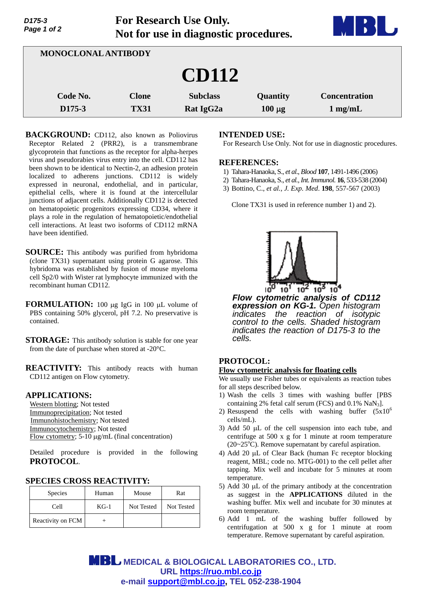| ,,,,,<br>Page 1 of 2 |                             | Tot Research Ose Omy.<br>Not for use in diagnostic procedures. |                         |                                   |
|----------------------|-----------------------------|----------------------------------------------------------------|-------------------------|-----------------------------------|
|                      | MONOCLONAL ANTIBODY         |                                                                |                         |                                   |
|                      |                             | <b>CD112</b>                                                   |                         |                                   |
| Code No.<br>D175-3   | <b>Clone</b><br><b>TX31</b> | <b>Subclass</b><br>Rat IgG2a                                   | Quantity<br>$100 \mu g$ | <b>Concentration</b><br>$1$ mg/mL |

**For Research Use Only.**

**BACKGROUND:** CD112, also known as Poliovirus Receptor Related 2 (PRR2), is a transmembrane glycoprotein that functions as the receptor for alpha-herpes virus and pseudorabies virus entry into the cell. CD112 has been shown to be identical to Nectin-2, an adhesion protein localized to adherens junctions. CD112 is widely expressed in neuronal, endothelial, and in particular, epithelial cells, where it is found at the intercellular junctions of adjacent cells. Additionally CD112 is detected on hematopoietic progenitors expressing CD34, where it plays a role in the regulation of hematopoietic/endothelial cell interactions. At least two isoforms of CD112 mRNA have been identified.

- **SOURCE:** This antibody was purified from hybridoma (clone TX31) supernatant using protein G agarose. This hybridoma was established by fusion of mouse myeloma cell Sp2/0 with Wister rat lymphocyte immunized with the recombinant human CD112.
- **FORMULATION:** 100 µg IgG in 100 µL volume of PBS containing 50% glycerol, pH 7.2. No preservative is contained.
- **STORAGE:** This antibody solution is stable for one year from the date of purchase when stored at -20°C.

**REACTIVITY:** This antibody reacts with human CD112 antigen on Flow cytometry.

## **APPLICATIONS:**

*D175-3* 

Western blotting; Not tested Immunoprecipitation; Not tested Immunohistochemistry; Not tested Immunocytochemistry; Not tested Flow cytometry;  $5-10 \mu g/mL$  (final concentration)

Detailed procedure is provided in the following **PROTOCOL**.

### **SPECIES CROSS REACTIVITY:**

| <b>Species</b>    | Human  | Mouse      | Rat        |
|-------------------|--------|------------|------------|
| Cell              | $KG-1$ | Not Tested | Not Tested |
| Reactivity on FCM |        |            |            |

#### **INTENDED USE:**

For Research Use Only. Not for use in diagnostic procedures.

**The Common Street** 

#### **REFERENCES:**

- 1) Tahara-Hanaoka, S., *et al*., *Blood* **107**, 1491-1496 (2006)
- 2) Tahara-Hanaoka, S., *et al., Int. Immunol.* **16**, 533-538 (2004)
- 3) Bottino, C., *et al., J. Exp. Med*. **198**, 557-567 (2003)

Clone TX31 is used in reference number 1) and 2).



*Flow cytometric analysis of CD112 expression on KG-1. Open histogram indicates the reaction of isotypic control to the cells. Shaded histogram indicates the reaction of D175-3 to the cells.*

# **PROTOCOL:**

## **Flow cytometric analysis for floating cells**

We usually use Fisher tubes or equivalents as reaction tubes for all steps described below.

- 1) Wash the cells 3 times with washing buffer [PBS containing 2% fetal calf serum (FCS) and  $0.1\%$  NaN<sub>3</sub>].
- 2) Resuspend the cells with washing buffer  $(5x10^6)$ cells/mL).
- 3) Add 50  $\mu$ L of the cell suspension into each tube, and centrifuge at 500 x g for 1 minute at room temperature  $(20~25<sup>o</sup>C)$ . Remove supernatant by careful aspiration.
- 4) Add 20  $\mu$ L of Clear Back (human Fc receptor blocking reagent, MBL; code no. MTG-001) to the cell pellet after tapping. Mix well and incubate for 5 minutes at room temperature.
- 5) Add 30  $\mu$ L of the primary antibody at the concentration as suggest in the **APPLICATIONS** diluted in the washing buffer. Mix well and incubate for 30 minutes at room temperature.
- 6) Add 1 mL of the washing buffer followed by centrifugation at 500 x g for 1 minute at room temperature. Remove supernatant by careful aspiration.

**MBL** MEDICAL & BIOLOGICAL LABORATORIES CO., LTD. **URL https://ruo.mbl.co.jp e-mail support@mbl.co.jp, TEL 052-238-1904**